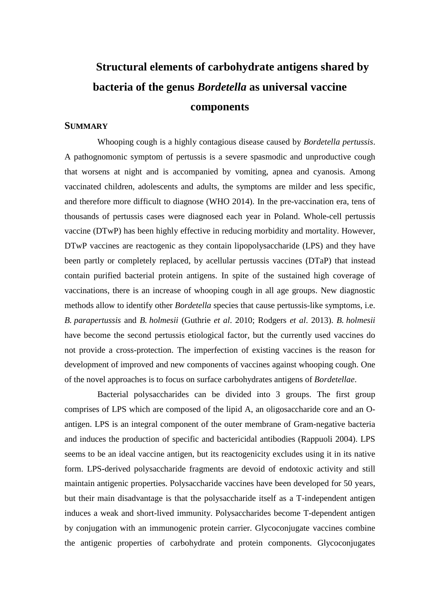## **Structural elements of carbohydrate antigens shared by bacteria of the genus** *Bordetella* **as universal vaccine components**

## **SUMMARY**

Whooping cough is a highly contagious disease caused by *Bordetella pertussis*. A pathognomonic symptom of pertussis is a severe spasmodic and unproductive cough that worsens at night and is accompanied by vomiting, apnea and cyanosis. Among vaccinated children, adolescents and adults, the symptoms are milder and less specific, and therefore more difficult to diagnose (WHO 2014). In the pre-vaccination era, tens of thousands of pertussis cases were diagnosed each year in Poland. Whole-cell pertussis vaccine (DTwP) has been highly effective in reducing morbidity and mortality. However, DTwP vaccines are reactogenic as they contain lipopolysaccharide (LPS) and they have been partly or completely replaced, by acellular pertussis vaccines (DTaP) that instead contain purified bacterial protein antigens. In spite of the sustained high coverage of vaccinations, there is an increase of whooping cough in all age groups. New diagnostic methods allow to identify other *Bordetella* species that cause pertussis-like symptoms, i.e. *B. parapertussis* and *B. holmesii* (Guthrie *et al*. 2010; Rodgers *et al*. 2013). *B. holmesii* have become the second pertussis etiological factor, but the currently used vaccines do not provide a cross-protection. The imperfection of existing vaccines is the reason for development of improved and new components of vaccines against whooping cough. One of the novel approaches is to focus on surface carbohydrates antigens of *Bordetellae*.

Bacterial polysaccharides can be divided into 3 groups. The first group comprises of LPS which are composed of the lipid A, an oligosaccharide core and an Oantigen. LPS is an integral component of the outer membrane of Gram-negative bacteria and induces the production of specific and bactericidal antibodies (Rappuoli 2004). LPS seems to be an ideal vaccine antigen, but its reactogenicity excludes using it in its native form. LPS-derived polysaccharide fragments are devoid of endotoxic activity and still maintain antigenic properties. Polysaccharide vaccines have been developed for 50 years, but their main disadvantage is that the polysaccharide itself as a T-independent antigen induces a weak and short-lived immunity. Polysaccharides become T-dependent antigen by conjugation with an immunogenic protein carrier. Glycoconjugate vaccines combine the antigenic properties of carbohydrate and protein components. Glycoconjugates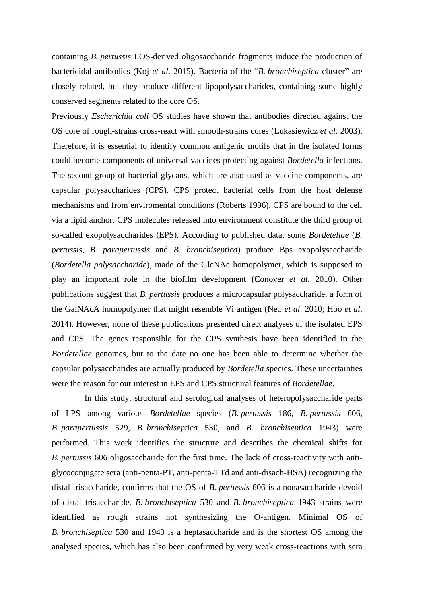containing *B. pertussis* LOS-derived oligosaccharide fragments induce the production of bactericidal antibodies (Koj *et al*. 2015). Bacteria of the "*B. bronchiseptica* cluster" are closely related, but they produce different lipopolysaccharides, containing some highly conserved segments related to the core OS.

Previously *Escherichia coli* OS studies have shown that antibodies directed against the OS core of rough-strains cross-react with smooth-strains cores (Lukasiewicz *et al*. 2003). Therefore, it is essential to identify common antigenic motifs that in the isolated forms could become components of universal vaccines protecting against *Bordetella* infections. The second group of bacterial glycans, which are also used as vaccine components, are capsular polysaccharides (CPS). CPS protect bacterial cells from the host defense mechanisms and from enviromental conditions (Roberts 1996). CPS are bound to the cell via a lipid anchor. CPS molecules released into environment constitute the third group of so-called exopolysaccharides (EPS). According to published data, some *Bordetellae* (*B. pertussis*, *B. parapertussis* and *B. bronchiseptica*) produce Bps exopolysaccharide (*Bordetella polysaccharide*), made of the GlcNAc homopolymer, which is supposed to play an important role in the biofilm development (Conover *et al*. 2010). Other publications suggest that *B. pertussis* produces a microcapsular polysaccharide, a form of the GalNAcA homopolymer that might resemble Vi antigen (Neo *et al*. 2010; Hoo *et al*. 2014). However, none of these publications presented direct analyses of the isolated EPS and CPS. The genes responsible for the CPS synthesis have been identified in the *Bordetellae* genomes, but to the date no one has been able to determine whether the capsular polysaccharides are actually produced by *Bordetella* species. These uncertainties were the reason for our interest in EPS and CPS structural features of *Bordetellae.*

In this study, structural and serological analyses of heteropolysaccharide parts of LPS among various *Bordetellae* species (*B. pertussis* 186, *B. pertussis* 606, *B. parapertussis* 529, *B. bronchiseptica* 530, and *B. bronchiseptica* 1943) were performed. This work identifies the structure and describes the chemical shifts for *B. pertussis* 606 oligosaccharide for the first time. The lack of cross-reactivity with antiglycoconjugate sera (anti-penta-PT, anti-penta-TTd and anti-disach-HSA) recognizing the distal trisaccharide, confirms that the OS of *B. pertussis* 606 is a nonasaccharide devoid of distal trisaccharide. *B. bronchiseptica* 530 and *B. bronchiseptica* 1943 strains were identified as rough strains not synthesizing the O-antigen. Minimal OS of *B. bronchiseptica* 530 and 1943 is a heptasaccharide and is the shortest OS among the analysed species, which has also been confirmed by very weak cross-reactions with sera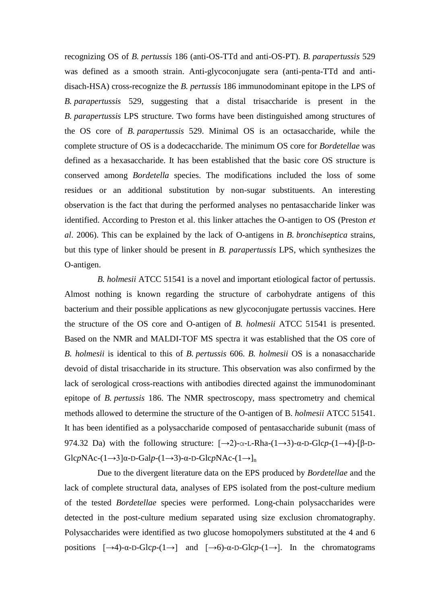recognizing OS of *B. pertussis* 186 (anti-OS-TTd and anti-OS-PT). *B. parapertussis* 529 was defined as a smooth strain. Anti-glycoconjugate sera (anti-penta-TTd and antidisach-HSA) cross-recognize the *B. pertussis* 186 immunodominant epitope in the LPS of *B. parapertussis* 529, suggesting that a distal trisaccharide is present in the *B. parapertussis* LPS structure. Two forms have been distinguished among structures of the OS core of *B. parapertussis* 529. Minimal OS is an octasaccharide, while the complete structure of OS is a dodecaccharide. The minimum OS core for *Bordetellae* was defined as a hexasaccharide. It has been established that the basic core OS structure is conserved among *Bordetella* species. The modifications included the loss of some residues or an additional substitution by non-sugar substituents. An interesting observation is the fact that during the performed analyses no pentasaccharide linker was identified. According to Preston et al. this linker attaches the O-antigen to OS (Preston *et al*. 2006). This can be explained by the lack of O-antigens in *B. bronchiseptica* strains, but this type of linker should be present in *B. parapertussis* LPS, which synthesizes the O-antigen.

*B. holmesii* ATCC 51541 is a novel and important etiological factor of pertussis. Almost nothing is known regarding the structure of carbohydrate antigens of this bacterium and their possible applications as new glycoconjugate pertussis vaccines. Here the structure of the OS core and O-antigen of *B. holmesii* ATCC 51541 is presented. Based on the NMR and MALDI-TOF MS spectra it was established that the OS core of *B. holmesii* is identical to this of *B. pertussis* 606. *B. holmesii* OS is a nonasaccharide devoid of distal trisaccharide in its structure. This observation was also confirmed by the lack of serological cross-reactions with antibodies directed against the immunodominant epitope of *B. pertussis* 186. The NMR spectroscopy, mass spectrometry and chemical methods allowed to determine the structure of the O-antigen of B. *holmesii* ATCC 51541. It has been identified as a polysaccharide composed of pentasaccharide subunit (mass of 974.32 Da) with the following structure:  $[\rightarrow 2)$ -α-L-Rha-(1→3)-α-D-Glc*p*-(1→4)-[β-D- $GlcpNAc-(1→3]α-D-Galp-(1→3)-α-D-GlcpNAc-(1→]n$ 

Due to the divergent literature data on the EPS produced by *Bordetellae* and the lack of complete structural data, analyses of EPS isolated from the post-culture medium of the tested *Bordetellae* species were performed. Long-chain polysaccharides were detected in the post-culture medium separated using size exclusion chromatography. Polysaccharides were identified as two glucose homopolymers substituted at the 4 and 6 positions  $[\rightarrow 4)$ -α-D-Glc*p*-(1→) and  $[\rightarrow 6)$ -α-D-Glc*p*-(1→). In the chromatograms